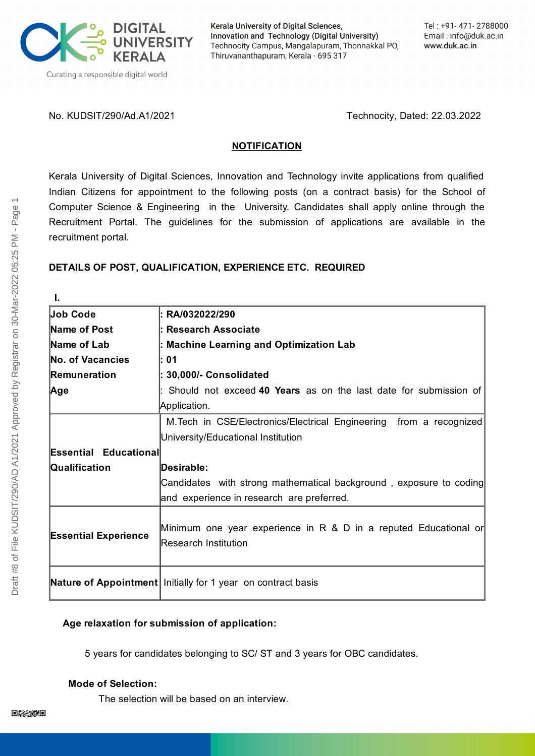

Kerala University of Digital Sciences, Innovation and Technology (Digital University) Technocity Campus, Mangalapuram, Thonnakkal PO, Thiruvananthapuram, Kerala - 695 317

No. KUDSIT/290/Ad.A1/2021 Technocity, Dated: 22.03.2022

#### **NOTIFICATION**

Kerala University of Digital Sciences, Innovation and Technology invite applications from qualified Indian Citizens for appointment to the following posts (on a contract basis) for the School of Computer Science & Engineering in the University. Candidates shall apply online through the Recruitment Portal. The guidelines for the submission of applications are available in the recruitment portal.

## **DETAILS OF POST, QUALIFICATION, EXPERIENCE ETC. REQUIRED**

**I. Job Code Name of Post Name of Lab No. of Vacancies Remuneration Age : RA/032022/290 : Research Associate : Machine Learning and Optimization Lab : 01 : 30,000/- Consolidated** : Should not exceed **40 Years** as on the last date for submission of Application. **Essential Educational Qualification** M.Tech in CSE/Electronics/Electrical Engineering from a recognized University/Educational Institution **Desirable:** Candidates with strong mathematical background , exposure to coding and experience in research are preferred. **Essential Experience** Minimum one year experience in R & D in a reputed Educational or Research Institution **Nature of Appointment** Initially for 1 year on contract basis

## **Age relaxation for submission of application:**

5 years for candidates belonging to SC/ ST and 3 years for OBC candidates.

## **Mode of Selection:**

The selection will be based on an interview.